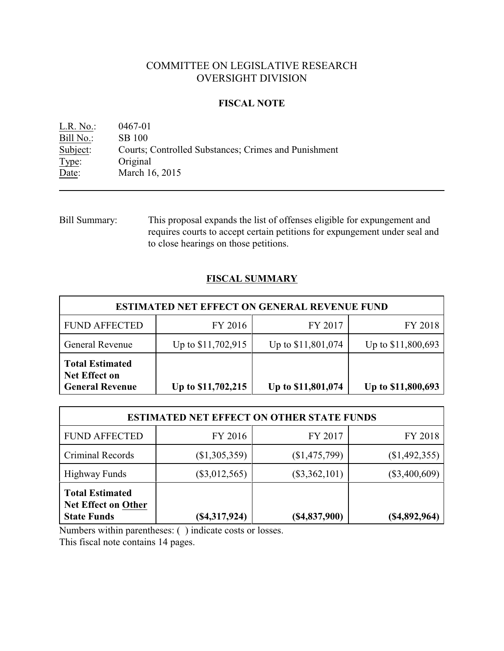# COMMITTEE ON LEGISLATIVE RESEARCH OVERSIGHT DIVISION

## **FISCAL NOTE**

L.R. No.: 0467-01  $\frac{\text{Bill No.}}{\text{Subject:}}$  SB 100 Courts; Controlled Substances; Crimes and Punishment Type: Original Date: March 16, 2015

Bill Summary: This proposal expands the list of offenses eligible for expungement and requires courts to accept certain petitions for expungement under seal and to close hearings on those petitions.

## **FISCAL SUMMARY**

| <b>ESTIMATED NET EFFECT ON GENERAL REVENUE FUND</b>                      |                    |                    |                    |
|--------------------------------------------------------------------------|--------------------|--------------------|--------------------|
| <b>FUND AFFECTED</b>                                                     | FY 2016            | FY 2017            | FY 2018            |
| <b>General Revenue</b>                                                   | Up to \$11,702,915 | Up to \$11,801,074 | Up to \$11,800,693 |
| <b>Total Estimated</b><br><b>Net Effect on</b><br><b>General Revenue</b> | Up to \$11,702,215 | Up to \$11,801,074 | Up to \$11,800,693 |

|                                                                            | <b>ESTIMATED NET EFFECT ON OTHER STATE FUNDS</b> |                 |                  |
|----------------------------------------------------------------------------|--------------------------------------------------|-----------------|------------------|
| <b>FUND AFFECTED</b>                                                       | FY 2016                                          | FY 2017         | FY 2018          |
| Criminal Records                                                           | (\$1,305,359)                                    | (\$1,475,799)   | (\$1,492,355)    |
| <b>Highway Funds</b>                                                       | $(\$3,012,565)$                                  | $(\$3,362,101)$ | $(\$3,400,609)$  |
| <b>Total Estimated</b><br><b>Net Effect on Other</b><br><b>State Funds</b> | (\$4,317,924)                                    | $(\$4,837,900)$ | $($ \$4,892,964) |

Numbers within parentheses: ( ) indicate costs or losses.

This fiscal note contains 14 pages.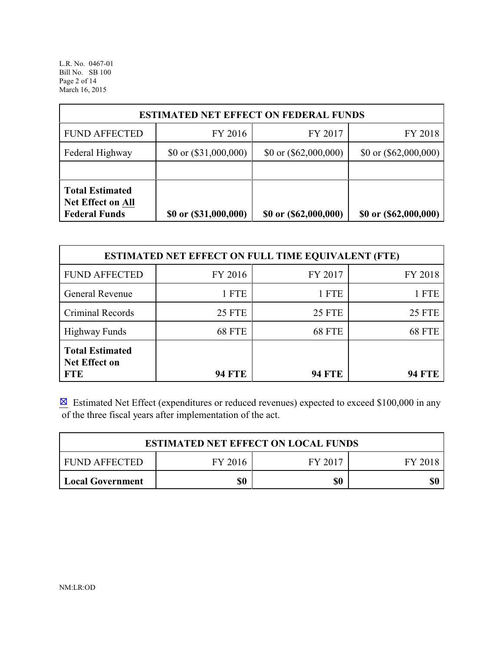L.R. No. 0467-01 Bill No. SB 100 Page 2 of 14 March 16, 2015

| <b>ESTIMATED NET EFFECT ON FEDERAL FUNDS</b>                               |                         |                         |                         |  |
|----------------------------------------------------------------------------|-------------------------|-------------------------|-------------------------|--|
| <b>FUND AFFECTED</b>                                                       | FY 2016                 | FY 2017                 | FY 2018                 |  |
| Federal Highway                                                            | \$0 or $(\$31,000,000)$ | \$0 or $(\$62,000,000)$ | \$0 or $(\$62,000,000)$ |  |
|                                                                            |                         |                         |                         |  |
| <b>Total Estimated</b><br><b>Net Effect on All</b><br><b>Federal Funds</b> | \$0 or (\$31,000,000)   | \$0 or (\$62,000,000)   | \$0 or (\$62,000,000)   |  |

| <b>ESTIMATED NET EFFECT ON FULL TIME EQUIVALENT (FTE)</b>    |               |               |               |
|--------------------------------------------------------------|---------------|---------------|---------------|
| <b>FUND AFFECTED</b>                                         | FY 2016       | FY 2017       | FY 2018       |
| <b>General Revenue</b>                                       | 1 FTE         | 1 FTE         | 1 FTE         |
| Criminal Records                                             | <b>25 FTE</b> | <b>25 FTE</b> | <b>25 FTE</b> |
| <b>Highway Funds</b>                                         | <b>68 FTE</b> | 68 FTE        | 68 FTE        |
| <b>Total Estimated</b><br><b>Net Effect on</b><br><b>FTE</b> | <b>94 FTE</b> | <b>94 FTE</b> | <b>94 FTE</b> |

 $\boxtimes$  Estimated Net Effect (expenditures or reduced revenues) expected to exceed \$100,000 in any of the three fiscal years after implementation of the act.

|                      | <b>ESTIMATED NET EFFECT ON LOCAL FUNDS</b> |         |         |
|----------------------|--------------------------------------------|---------|---------|
| <b>FUND AFFECTED</b> | FY 2016                                    | FY 2017 | FY 2018 |
| Local Government     | \$0                                        | \$0     |         |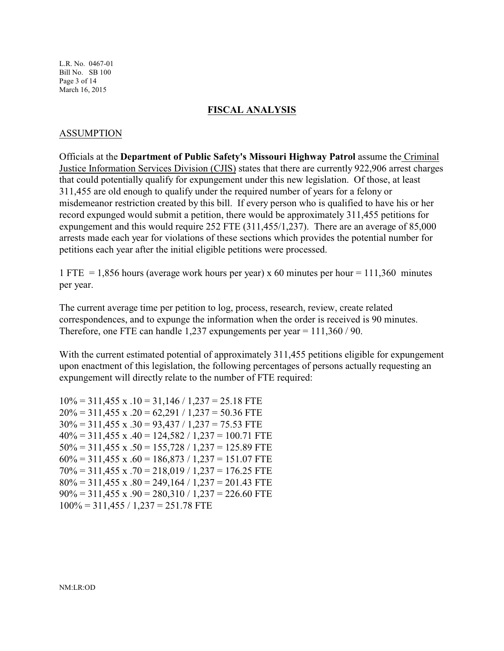L.R. No. 0467-01 Bill No. SB 100 Page 3 of 14 March 16, 2015

#### **FISCAL ANALYSIS**

#### ASSUMPTION

Officials at the **Department of Public Safety's Missouri Highway Patrol** assume the Criminal Justice Information Services Division (CJIS) states that there are currently 922,906 arrest charges that could potentially qualify for expungement under this new legislation. Of those, at least 311,455 are old enough to qualify under the required number of years for a felony or misdemeanor restriction created by this bill. If every person who is qualified to have his or her record expunged would submit a petition, there would be approximately 311,455 petitions for expungement and this would require 252 FTE (311,455/1,237). There are an average of 85,000 arrests made each year for violations of these sections which provides the potential number for petitions each year after the initial eligible petitions were processed.

1 FTE = 1,856 hours (average work hours per year) x 60 minutes per hour = 111,360 minutes per year.

The current average time per petition to log, process, research, review, create related correspondences, and to expunge the information when the order is received is 90 minutes. Therefore, one FTE can handle 1,237 expungements per year = 111,360 / 90.

With the current estimated potential of approximately 311,455 petitions eligible for expungement upon enactment of this legislation, the following percentages of persons actually requesting an expungement will directly relate to the number of FTE required:

 $10\% = 311,455 \text{ x}.10 = 31,146 / 1,237 = 25.18 \text{ FTE}$  $20\% = 311,455$  x .20 = 62,291 / 1,237 = 50.36 FTE  $30\% = 311,455$  x  $.30 = 93,437 / 1,237 = 75.53$  FTE  $40\% = 311,455$  x  $.40 = 124,582 / 1,237 = 100.71$  FTE  $50\% = 311,455$  x  $.50 = 155,728 / 1,237 = 125.89$  FTE  $60\% = 311,455$  x  $.60 = 186,873 / 1,237 = 151.07$  FTE  $70\% = 311,455$  x  $.70 = 218,019 / 1,237 = 176.25$  FTE  $80\% = 311,455$  x  $.80 = 249,164 / 1,237 = 201.43$  FTE  $90\% = 311,455$  x  $.90 = 280,310 / 1,237 = 226.60$  FTE  $100\% = 311,455 / 1,237 = 251.78$  FTE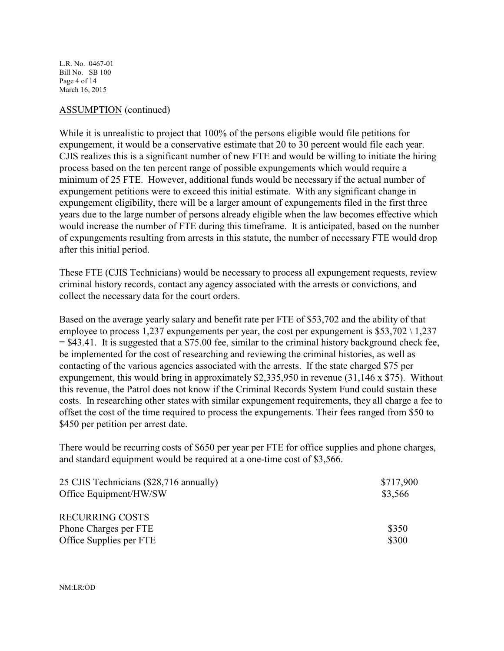L.R. No. 0467-01 Bill No. SB 100 Page 4 of 14 March 16, 2015

#### ASSUMPTION (continued)

While it is unrealistic to project that 100% of the persons eligible would file petitions for expungement, it would be a conservative estimate that 20 to 30 percent would file each year. CJIS realizes this is a significant number of new FTE and would be willing to initiate the hiring process based on the ten percent range of possible expungements which would require a minimum of 25 FTE. However, additional funds would be necessary if the actual number of expungement petitions were to exceed this initial estimate. With any significant change in expungement eligibility, there will be a larger amount of expungements filed in the first three years due to the large number of persons already eligible when the law becomes effective which would increase the number of FTE during this timeframe. It is anticipated, based on the number of expungements resulting from arrests in this statute, the number of necessary FTE would drop after this initial period.

These FTE (CJIS Technicians) would be necessary to process all expungement requests, review criminal history records, contact any agency associated with the arrests or convictions, and collect the necessary data for the court orders.

Based on the average yearly salary and benefit rate per FTE of \$53,702 and the ability of that employee to process 1,237 expungements per year, the cost per expungement is  $$53,702 \setminus 1,237$ = \$43.41. It is suggested that a \$75.00 fee, similar to the criminal history background check fee, be implemented for the cost of researching and reviewing the criminal histories, as well as contacting of the various agencies associated with the arrests. If the state charged \$75 per expungement, this would bring in approximately \$2,335,950 in revenue (31,146 x \$75). Without this revenue, the Patrol does not know if the Criminal Records System Fund could sustain these costs. In researching other states with similar expungement requirements, they all charge a fee to offset the cost of the time required to process the expungements. Their fees ranged from \$50 to \$450 per petition per arrest date.

There would be recurring costs of \$650 per year per FTE for office supplies and phone charges, and standard equipment would be required at a one-time cost of \$3,566.

| 25 CJIS Technicians (\$28,716 annually) | \$717,900 |
|-----------------------------------------|-----------|
| Office Equipment/HW/SW                  | \$3,566   |
| <b>RECURRING COSTS</b>                  |           |
| Phone Charges per FTE                   | \$350     |
| Office Supplies per FTE                 | \$300     |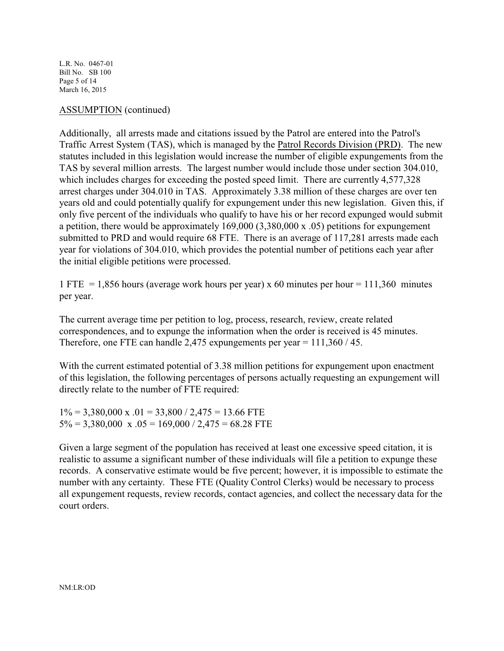L.R. No. 0467-01 Bill No. SB 100 Page 5 of 14 March 16, 2015

#### ASSUMPTION (continued)

Additionally, all arrests made and citations issued by the Patrol are entered into the Patrol's Traffic Arrest System (TAS), which is managed by the Patrol Records Division (PRD). The new statutes included in this legislation would increase the number of eligible expungements from the TAS by several million arrests. The largest number would include those under section 304.010, which includes charges for exceeding the posted speed limit. There are currently 4,577,328 arrest charges under 304.010 in TAS. Approximately 3.38 million of these charges are over ten years old and could potentially qualify for expungement under this new legislation. Given this, if only five percent of the individuals who qualify to have his or her record expunged would submit a petition, there would be approximately 169,000 (3,380,000 x .05) petitions for expungement submitted to PRD and would require 68 FTE. There is an average of 117,281 arrests made each year for violations of 304.010, which provides the potential number of petitions each year after the initial eligible petitions were processed.

1 FTE = 1,856 hours (average work hours per year) x 60 minutes per hour =  $111,360$  minutes per year.

The current average time per petition to log, process, research, review, create related correspondences, and to expunge the information when the order is received is 45 minutes. Therefore, one FTE can handle 2,475 expungements per year = 111,360 / 45.

With the current estimated potential of 3.38 million petitions for expungement upon enactment of this legislation, the following percentages of persons actually requesting an expungement will directly relate to the number of FTE required:

 $1\% = 3,380,000 \text{ x}$ .01 = 33,800 / 2,475 = 13.66 FTE  $5\% = 3,380,000 \text{ x } .05 = 169,000 / 2,475 = 68.28 \text{ FTE}$ 

Given a large segment of the population has received at least one excessive speed citation, it is realistic to assume a significant number of these individuals will file a petition to expunge these records. A conservative estimate would be five percent; however, it is impossible to estimate the number with any certainty. These FTE (Quality Control Clerks) would be necessary to process all expungement requests, review records, contact agencies, and collect the necessary data for the court orders.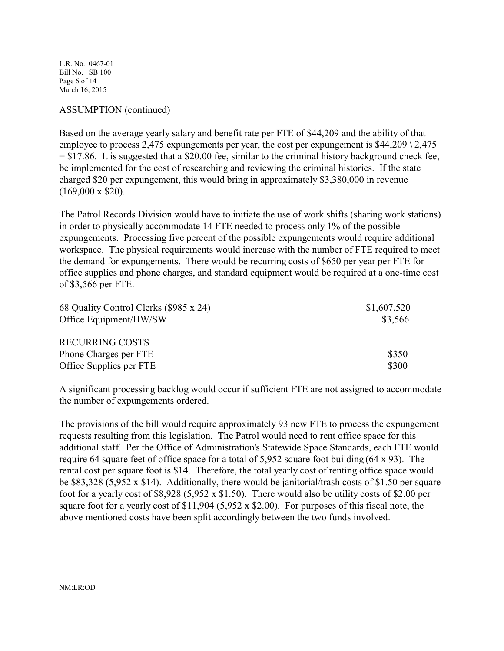L.R. No. 0467-01 Bill No. SB 100 Page 6 of 14 March 16, 2015

#### ASSUMPTION (continued)

Based on the average yearly salary and benefit rate per FTE of \$44,209 and the ability of that employee to process 2,475 expungements per year, the cost per expungement is  $$44,209 \setminus 2,475$  $= $17.86$ . It is suggested that a \$20.00 fee, similar to the criminal history background check fee, be implemented for the cost of researching and reviewing the criminal histories. If the state charged \$20 per expungement, this would bring in approximately \$3,380,000 in revenue  $(169,000 \times $20)$ .

The Patrol Records Division would have to initiate the use of work shifts (sharing work stations) in order to physically accommodate 14 FTE needed to process only 1% of the possible expungements. Processing five percent of the possible expungements would require additional workspace. The physical requirements would increase with the number of FTE required to meet the demand for expungements. There would be recurring costs of \$650 per year per FTE for office supplies and phone charges, and standard equipment would be required at a one-time cost of \$3,566 per FTE.

| 68 Quality Control Clerks (\$985 x 24) | \$1,607,520 |
|----------------------------------------|-------------|
| Office Equipment/HW/SW                 | \$3,566     |
| <b>RECURRING COSTS</b>                 |             |
| Phone Charges per FTE                  | \$350       |
| Office Supplies per FTE                | \$300       |

A significant processing backlog would occur if sufficient FTE are not assigned to accommodate the number of expungements ordered.

The provisions of the bill would require approximately 93 new FTE to process the expungement requests resulting from this legislation. The Patrol would need to rent office space for this additional staff. Per the Office of Administration's Statewide Space Standards, each FTE would require 64 square feet of office space for a total of 5,952 square foot building (64 x 93). The rental cost per square foot is \$14. Therefore, the total yearly cost of renting office space would be \$83,328 (5,952 x \$14). Additionally, there would be janitorial/trash costs of \$1.50 per square foot for a yearly cost of \$8,928 (5,952 x \$1.50). There would also be utility costs of \$2.00 per square foot for a yearly cost of \$11,904 (5,952 x \$2.00). For purposes of this fiscal note, the above mentioned costs have been split accordingly between the two funds involved.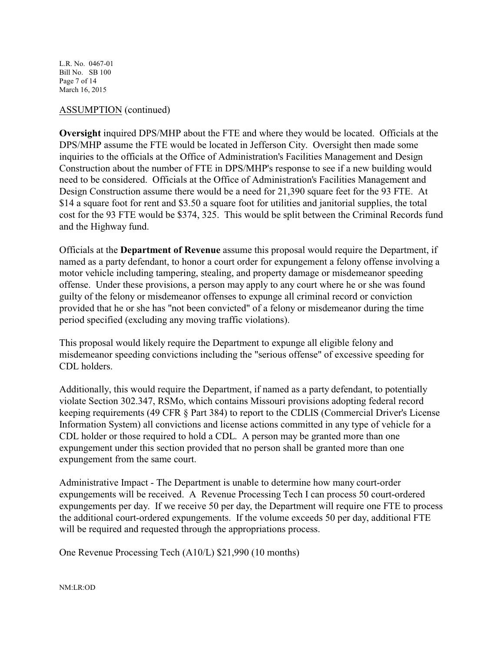L.R. No. 0467-01 Bill No. SB 100 Page 7 of 14 March 16, 2015

#### ASSUMPTION (continued)

**Oversight** inquired DPS/MHP about the FTE and where they would be located. Officials at the DPS/MHP assume the FTE would be located in Jefferson City. Oversight then made some inquiries to the officials at the Office of Administration's Facilities Management and Design Construction about the number of FTE in DPS/MHP's response to see if a new building would need to be considered. Officials at the Office of Administration's Facilities Management and Design Construction assume there would be a need for 21,390 square feet for the 93 FTE. At \$14 a square foot for rent and \$3.50 a square foot for utilities and janitorial supplies, the total cost for the 93 FTE would be \$374, 325. This would be split between the Criminal Records fund and the Highway fund.

Officials at the **Department of Revenue** assume this proposal would require the Department, if named as a party defendant, to honor a court order for expungement a felony offense involving a motor vehicle including tampering, stealing, and property damage or misdemeanor speeding offense. Under these provisions, a person may apply to any court where he or she was found guilty of the felony or misdemeanor offenses to expunge all criminal record or conviction provided that he or she has "not been convicted" of a felony or misdemeanor during the time period specified (excluding any moving traffic violations).

This proposal would likely require the Department to expunge all eligible felony and misdemeanor speeding convictions including the "serious offense" of excessive speeding for CDL holders.

Additionally, this would require the Department, if named as a party defendant, to potentially violate Section 302.347, RSMo, which contains Missouri provisions adopting federal record keeping requirements (49 CFR § Part 384) to report to the CDLIS (Commercial Driver's License Information System) all convictions and license actions committed in any type of vehicle for a CDL holder or those required to hold a CDL. A person may be granted more than one expungement under this section provided that no person shall be granted more than one expungement from the same court.

Administrative Impact - The Department is unable to determine how many court-order expungements will be received. A Revenue Processing Tech I can process 50 court-ordered expungements per day. If we receive 50 per day, the Department will require one FTE to process the additional court-ordered expungements. If the volume exceeds 50 per day, additional FTE will be required and requested through the appropriations process.

One Revenue Processing Tech (A10/L) \$21,990 (10 months)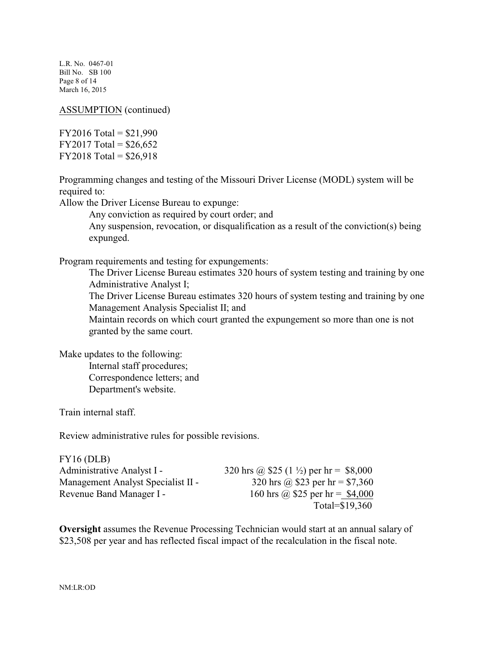L.R. No. 0467-01 Bill No. SB 100 Page 8 of 14 March 16, 2015

ASSUMPTION (continued)

 $FY2016 Total = $21,990$ FY2017 Total =  $$26,652$  $FY2018 Total = $26,918$ 

Programming changes and testing of the Missouri Driver License (MODL) system will be required to:

Allow the Driver License Bureau to expunge:

Any conviction as required by court order; and

Any suspension, revocation, or disqualification as a result of the conviction(s) being expunged.

Program requirements and testing for expungements:

The Driver License Bureau estimates 320 hours of system testing and training by one Administrative Analyst I;

The Driver License Bureau estimates 320 hours of system testing and training by one Management Analysis Specialist II; and

Maintain records on which court granted the expungement so more than one is not granted by the same court.

Make updates to the following: Internal staff procedures;

Correspondence letters; and Department's website.

Train internal staff.

Review administrative rules for possible revisions.

| FY16(DLB)                          |                                                    |
|------------------------------------|----------------------------------------------------|
| Administrative Analyst I -         | 320 hrs @ \$25 (1 $\frac{1}{2}$ ) per hr = \$8,000 |
| Management Analyst Specialist II - | 320 hrs @ \$23 per hr = \$7,360                    |
| Revenue Band Manager I -           | 160 hrs @ \$25 per hr = \$4,000                    |
|                                    | Total=\$19,360                                     |

**Oversight** assumes the Revenue Processing Technician would start at an annual salary of \$23,508 per year and has reflected fiscal impact of the recalculation in the fiscal note.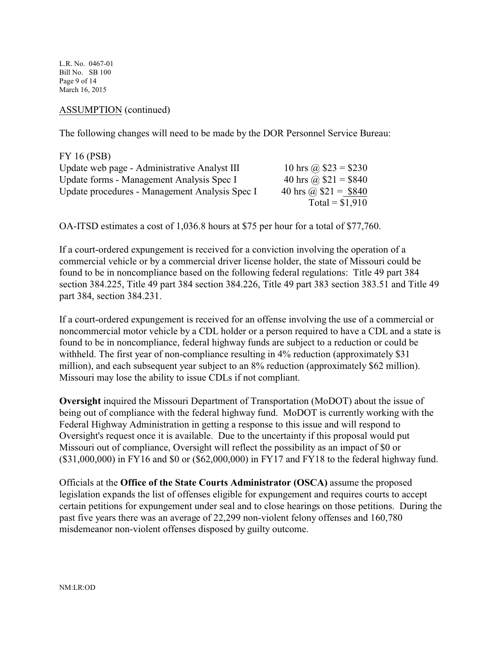L.R. No. 0467-01 Bill No. SB 100 Page 9 of 14 March 16, 2015

ASSUMPTION (continued)

The following changes will need to be made by the DOR Personnel Service Bureau:

| FY 16 (PSB)                                    |                       |
|------------------------------------------------|-----------------------|
| Update web page - Administrative Analyst III   | 10 hrs @ $$23 = $230$ |
| Update forms - Management Analysis Spec I      | 40 hrs @ $$21 = $840$ |
| Update procedures - Management Analysis Spec I | 40 hrs @ $$21 = $840$ |
|                                                | Total = $$1,910$      |

OA-ITSD estimates a cost of 1,036.8 hours at \$75 per hour for a total of \$77,760.

If a court-ordered expungement is received for a conviction involving the operation of a commercial vehicle or by a commercial driver license holder, the state of Missouri could be found to be in noncompliance based on the following federal regulations: Title 49 part 384 section 384.225, Title 49 part 384 section 384.226, Title 49 part 383 section 383.51 and Title 49 part 384, section 384.231.

If a court-ordered expungement is received for an offense involving the use of a commercial or noncommercial motor vehicle by a CDL holder or a person required to have a CDL and a state is found to be in noncompliance, federal highway funds are subject to a reduction or could be withheld. The first year of non-compliance resulting in 4% reduction (approximately \$31) million), and each subsequent year subject to an 8% reduction (approximately \$62 million). Missouri may lose the ability to issue CDLs if not compliant.

**Oversight** inquired the Missouri Department of Transportation (MoDOT) about the issue of being out of compliance with the federal highway fund. MoDOT is currently working with the Federal Highway Administration in getting a response to this issue and will respond to Oversight's request once it is available. Due to the uncertainty if this proposal would put Missouri out of compliance, Oversight will reflect the possibility as an impact of \$0 or (\$31,000,000) in FY16 and \$0 or (\$62,000,000) in FY17 and FY18 to the federal highway fund.

Officials at the **Office of the State Courts Administrator (OSCA)** assume the proposed legislation expands the list of offenses eligible for expungement and requires courts to accept certain petitions for expungement under seal and to close hearings on those petitions. During the past five years there was an average of 22,299 non-violent felony offenses and 160,780 misdemeanor non-violent offenses disposed by guilty outcome.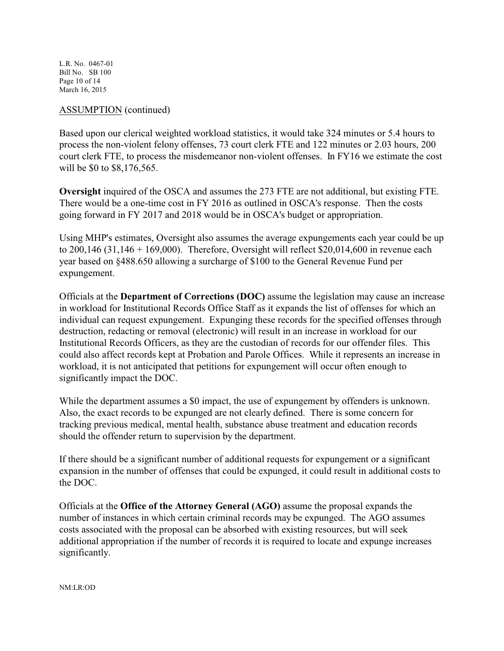L.R. No. 0467-01 Bill No. SB 100 Page 10 of 14 March 16, 2015

#### ASSUMPTION (continued)

Based upon our clerical weighted workload statistics, it would take 324 minutes or 5.4 hours to process the non-violent felony offenses, 73 court clerk FTE and 122 minutes or 2.03 hours, 200 court clerk FTE, to process the misdemeanor non-violent offenses. In FY16 we estimate the cost will be \$0 to \$8,176,565.

**Oversight** inquired of the OSCA and assumes the 273 FTE are not additional, but existing FTE. There would be a one-time cost in FY 2016 as outlined in OSCA's response. Then the costs going forward in FY 2017 and 2018 would be in OSCA's budget or appropriation.

Using MHP's estimates, Oversight also assumes the average expungements each year could be up to  $200,146$  (31,146 + 169,000). Therefore, Oversight will reflect \$20,014,600 in revenue each year based on §488.650 allowing a surcharge of \$100 to the General Revenue Fund per expungement.

Officials at the **Department of Corrections (DOC)** assume the legislation may cause an increase in workload for Institutional Records Office Staff as it expands the list of offenses for which an individual can request expungement. Expunging these records for the specified offenses through destruction, redacting or removal (electronic) will result in an increase in workload for our Institutional Records Officers, as they are the custodian of records for our offender files. This could also affect records kept at Probation and Parole Offices. While it represents an increase in workload, it is not anticipated that petitions for expungement will occur often enough to significantly impact the DOC.

While the department assumes a \$0 impact, the use of expungement by offenders is unknown. Also, the exact records to be expunged are not clearly defined. There is some concern for tracking previous medical, mental health, substance abuse treatment and education records should the offender return to supervision by the department.

If there should be a significant number of additional requests for expungement or a significant expansion in the number of offenses that could be expunged, it could result in additional costs to the DOC.

Officials at the **Office of the Attorney General (AGO)** assume the proposal expands the number of instances in which certain criminal records may be expunged. The AGO assumes costs associated with the proposal can be absorbed with existing resources, but will seek additional appropriation if the number of records it is required to locate and expunge increases significantly.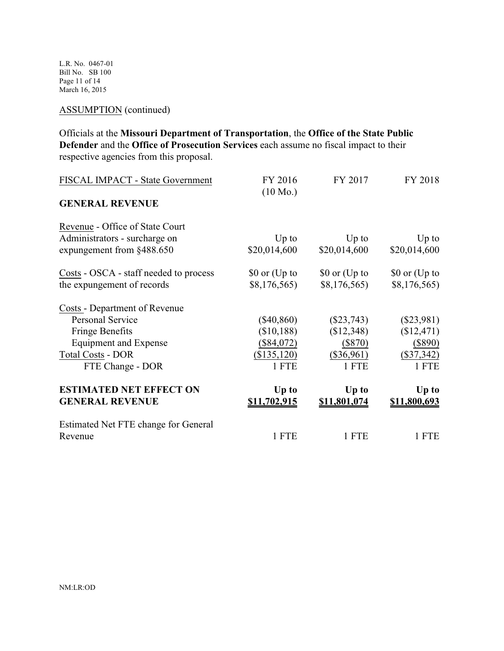L.R. No. 0467-01 Bill No. SB 100 Page 11 of 14 March 16, 2015

## ASSUMPTION (continued)

Officials at the **Missouri Department of Transportation**, the **Office of the State Public Defender** and the **Office of Prosecution Services** each assume no fiscal impact to their respective agencies from this proposal.

| FISCAL IMPACT - State Government       | FY 2016<br>$(10 \text{ Mo.})$ | FY 2017       | FY 2018       |
|----------------------------------------|-------------------------------|---------------|---------------|
| <b>GENERAL REVENUE</b>                 |                               |               |               |
| Revenue - Office of State Court        |                               |               |               |
| Administrators - surcharge on          | $Up$ to                       | $Up$ to       | $Up$ to       |
| expungement from §488.650              | \$20,014,600                  | \$20,014,600  | \$20,014,600  |
| Costs - OSCA - staff needed to process | \$0 or (Up to                 | \$0 or (Up to | \$0 or (Up to |
| the expungement of records             | \$8,176,565                   | \$8,176,565   | \$8,176,565   |
| <b>Costs - Department of Revenue</b>   |                               |               |               |
| <b>Personal Service</b>                | $(\$40,860)$                  | $(\$23,743)$  | $(\$23,981)$  |
| <b>Fringe Benefits</b>                 | (\$10,188)                    | (\$12,348)    | (\$12,471)    |
| Equipment and Expense                  | $(\$84,072)$                  | $(\$870)$     | $(\$890)$     |
| <b>Total Costs - DOR</b>               | (\$135,120)                   | $(\$36,961)$  | $(\$37,342)$  |
| FTE Change - DOR                       | 1 FTE                         | 1 FTE         | 1 FTE         |
| <b>ESTIMATED NET EFFECT ON</b>         | Up to                         | Up to         | Up to         |
| <b>GENERAL REVENUE</b>                 | <u>\$11,702,915</u>           | \$11,801,074  | \$11,800,693  |
| Estimated Net FTE change for General   |                               |               |               |
| Revenue                                | 1 FTE                         | 1 FTE         | 1 FTE         |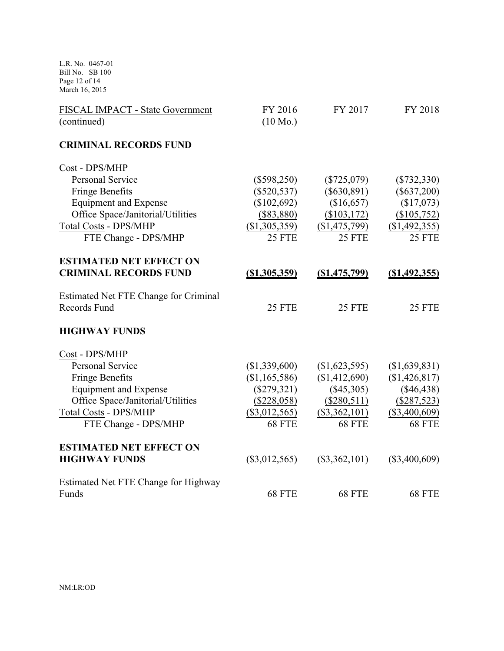L.R. No. 0467-01 Bill No. SB 100 Page 12 of 14 March 16, 2015

| FISCAL IMPACT - State Government<br>(continued) | FY 2016<br>$(10 \text{ Mo.})$ | FY 2017              | FY 2018         |
|-------------------------------------------------|-------------------------------|----------------------|-----------------|
| <b>CRIMINAL RECORDS FUND</b>                    |                               |                      |                 |
| Cost - DPS/MHP                                  |                               |                      |                 |
| <b>Personal Service</b>                         | $(\$598,250)$                 | $(\$725,079)$        | $(\$732,330)$   |
| <b>Fringe Benefits</b>                          | $(\$520,537)$                 | $(\$630,891)$        | $(\$637,200)$   |
| <b>Equipment and Expense</b>                    | (\$102,692)                   | (\$16,657)           | (\$17,073)      |
| Office Space/Janitorial/Utilities               | $(\$83,880)$                  | (\$103,172)          | (\$105,752)     |
| <b>Total Costs - DPS/MHP</b>                    | (\$1,305,359)                 | (\$1,475,799)        | (\$1,492,355)   |
| FTE Change - DPS/MHP                            | 25 FTE                        | <b>25 FTE</b>        | 25 FTE          |
| <b>ESTIMATED NET EFFECT ON</b>                  |                               |                      |                 |
| <b>CRIMINAL RECORDS FUND</b>                    | $($ \$1,305,359)              | <u>(\$1,475,799)</u> | $(\$1,492,355)$ |
| Estimated Net FTE Change for Criminal           |                               |                      |                 |
| <b>Records Fund</b>                             | 25 FTE                        | <b>25 FTE</b>        | <b>25 FTE</b>   |
| <b>HIGHWAY FUNDS</b>                            |                               |                      |                 |
| Cost - DPS/MHP                                  |                               |                      |                 |
| <b>Personal Service</b>                         | (\$1,339,600)                 | (\$1,623,595)        | \$1,639,831)    |
| <b>Fringe Benefits</b>                          | (\$1,165,586)                 | (\$1,412,690)        | (\$1,426,817)   |
| <b>Equipment and Expense</b>                    | $(\$279,321)$                 | $(\$45,305)$         | $(\$46,438)$    |
| Office Space/Janitorial/Utilities               | (\$228,058)                   | $(\$280,511)$        | $(\$287,523)$   |
| <b>Total Costs - DPS/MHP</b>                    | $(\$3,012,565)$               | $(\$3,362,101)$      | $(\$3,400,609)$ |
| FTE Change - DPS/MHP                            | <b>68 FTE</b>                 | <b>68 FTE</b>        | <b>68 FTE</b>   |
| <b>ESTIMATED NET EFFECT ON</b>                  |                               |                      |                 |
| <b>HIGHWAY FUNDS</b>                            | $(\$3,012,565)$               | $(\$3,362,101)$      | $(\$3,400,609)$ |
| Estimated Net FTE Change for Highway            |                               |                      |                 |
| Funds                                           | 68 FTE                        | 68 FTE               | 68 FTE          |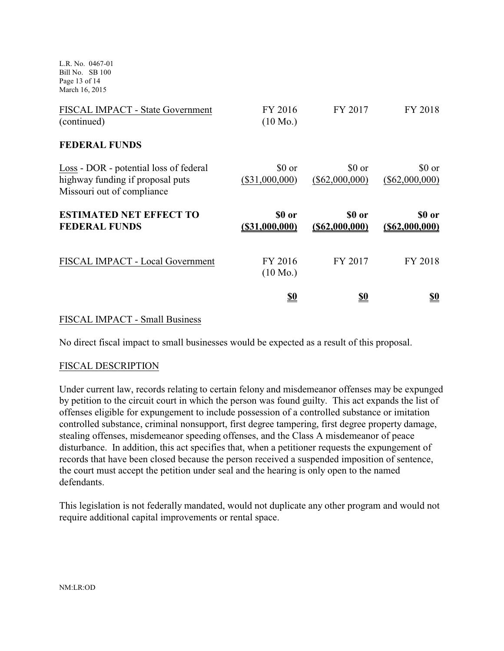L.R. No. 0467-01 Bill No. SB 100 Page 13 of 14 March 16, 2015

| FISCAL IMPACT - State Government<br>(continued)                                                          | FY 2016<br>$(10 \text{ Mo.})$ | FY 2017                     | FY 2018                     |
|----------------------------------------------------------------------------------------------------------|-------------------------------|-----------------------------|-----------------------------|
| <b>FEDERAL FUNDS</b>                                                                                     |                               |                             |                             |
| Loss - DOR - potential loss of federal<br>highway funding if proposal puts<br>Missouri out of compliance | \$0 or<br>$(\$31,000,000)$    | \$0 or<br>$(\$62,000,000)$  | \$0 or<br>$(\$62,000,000)$  |
|                                                                                                          |                               |                             |                             |
| <b>ESTIMATED NET EFFECT TO</b><br><b>FEDERAL FUNDS</b>                                                   | \$0 or<br>(S31,000,000)       | \$0 or<br>$($ \$62,000,000) | \$0 or<br>$($ \$62,000,000) |
| FISCAL IMPACT - Local Government                                                                         | FY 2016<br>$(10 \text{ Mo.})$ | FY 2017                     | FY 2018                     |

#### FISCAL IMPACT - Small Business

No direct fiscal impact to small businesses would be expected as a result of this proposal.

#### FISCAL DESCRIPTION

Under current law, records relating to certain felony and misdemeanor offenses may be expunged by petition to the circuit court in which the person was found guilty. This act expands the list of offenses eligible for expungement to include possession of a controlled substance or imitation controlled substance, criminal nonsupport, first degree tampering, first degree property damage, stealing offenses, misdemeanor speeding offenses, and the Class A misdemeanor of peace disturbance. In addition, this act specifies that, when a petitioner requests the expungement of records that have been closed because the person received a suspended imposition of sentence, the court must accept the petition under seal and the hearing is only open to the named defendants.

This legislation is not federally mandated, would not duplicate any other program and would not require additional capital improvements or rental space.